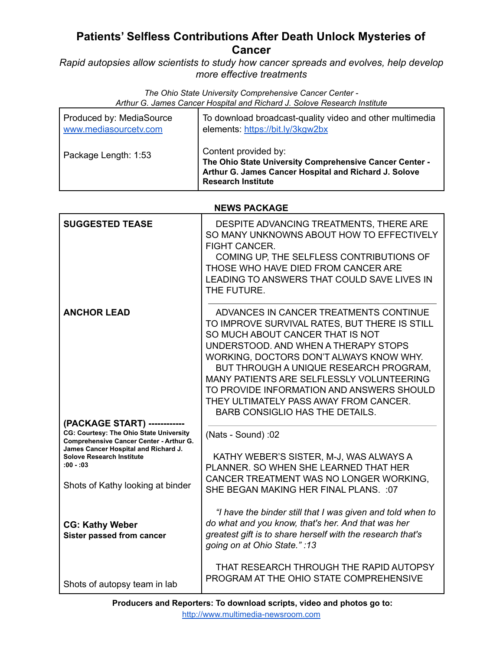# **Patients' Selfless Contributions After Death Unlock Mysteries of Cancer**

*Rapid autopsies allow scientists to study how cancer spreads and evolves, help develop more effective treatments*

> *The Ohio State University Comprehensive Cancer Center - Arthur G. James Cancer Hospital and Richard J. Solove Research Institute*

| Produced by: MediaSource | To download broadcast-quality video and other multimedia                                                                                                              |
|--------------------------|-----------------------------------------------------------------------------------------------------------------------------------------------------------------------|
| www.mediasourcetv.com    | elements: https://bit.ly/3kgw2bx                                                                                                                                      |
| Package Length: 1:53     | Content provided by:<br>The Ohio State University Comprehensive Cancer Center -<br>Arthur G. James Cancer Hospital and Richard J. Solove<br><b>Research Institute</b> |

## **NEWS PACKAGE**

| <b>SUGGESTED TEASE</b>                                                                 | DESPITE ADVANCING TREATMENTS, THERE ARE<br>SO MANY UNKNOWNS ABOUT HOW TO EFFECTIVELY<br><b>FIGHT CANCER.</b><br>COMING UP, THE SELFLESS CONTRIBUTIONS OF<br>THOSE WHO HAVE DIED FROM CANCER ARE<br>LEADING TO ANSWERS THAT COULD SAVE LIVES IN<br>THE FUTURE.                                                                                                                                                                          |
|----------------------------------------------------------------------------------------|----------------------------------------------------------------------------------------------------------------------------------------------------------------------------------------------------------------------------------------------------------------------------------------------------------------------------------------------------------------------------------------------------------------------------------------|
| <b>ANCHOR LEAD</b>                                                                     | ADVANCES IN CANCER TREATMENTS CONTINUE<br>TO IMPROVE SURVIVAL RATES, BUT THERE IS STILL<br>SO MUCH ABOUT CANCER THAT IS NOT<br>UNDERSTOOD, AND WHEN A THERAPY STOPS<br>WORKING, DOCTORS DON'T ALWAYS KNOW WHY.<br>BUT THROUGH A UNIQUE RESEARCH PROGRAM,<br>MANY PATIENTS ARE SELFLESSLY VOLUNTEERING<br>TO PROVIDE INFORMATION AND ANSWERS SHOULD<br>THEY ULTIMATELY PASS AWAY FROM CANCER.<br><b>BARB CONSIGLIO HAS THE DETAILS.</b> |
| (PACKAGE START) --------<br>CG: Courtesy: The Ohio State University                    | (Nats - Sound): 02                                                                                                                                                                                                                                                                                                                                                                                                                     |
| <b>Comprehensive Cancer Center - Arthur G.</b><br>James Cancer Hospital and Richard J. |                                                                                                                                                                                                                                                                                                                                                                                                                                        |
| <b>Solove Research Institute</b><br>$:00 - 03$                                         | KATHY WEBER'S SISTER, M-J, WAS ALWAYS A<br>PLANNER, SO WHEN SHE LEARNED THAT HER                                                                                                                                                                                                                                                                                                                                                       |
|                                                                                        | CANCER TREATMENT WAS NO LONGER WORKING,                                                                                                                                                                                                                                                                                                                                                                                                |
| Shots of Kathy looking at binder                                                       | SHE BEGAN MAKING HER FINAL PLANS. : 07                                                                                                                                                                                                                                                                                                                                                                                                 |
| <b>CG: Kathy Weber</b><br>Sister passed from cancer                                    | "I have the binder still that I was given and told when to<br>do what and you know, that's her. And that was her<br>greatest gift is to share herself with the research that's<br>going on at Ohio State.":13                                                                                                                                                                                                                          |
| Shots of autopsy team in lab                                                           | THAT RESEARCH THROUGH THE RAPID AUTOPSY<br>PROGRAM AT THE OHIO STATE COMPREHENSIVE                                                                                                                                                                                                                                                                                                                                                     |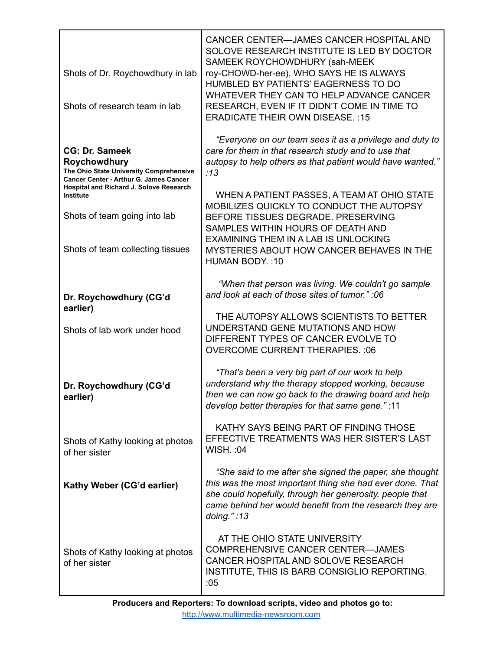| Shots of Dr. Roychowdhury in lab<br>Shots of research team in lab                                                                                                                                                                                                    | CANCER CENTER-JAMES CANCER HOSPITAL AND<br>SOLOVE RESEARCH INSTITUTE IS LED BY DOCTOR<br>SAMEEK ROYCHOWDHURY (sah-MEEK<br>roy-CHOWD-her-ee), WHO SAYS HE IS ALWAYS<br>HUMBLED BY PATIENTS' EAGERNESS TO DO<br>WHATEVER THEY CAN TO HELP ADVANCE CANCER<br>RESEARCH, EVEN IF IT DIDN'T COME IN TIME TO<br><b>ERADICATE THEIR OWN DISEASE.: 15</b>                                                                                                                                  |
|----------------------------------------------------------------------------------------------------------------------------------------------------------------------------------------------------------------------------------------------------------------------|-----------------------------------------------------------------------------------------------------------------------------------------------------------------------------------------------------------------------------------------------------------------------------------------------------------------------------------------------------------------------------------------------------------------------------------------------------------------------------------|
| <b>CG: Dr. Sameek</b><br>Roychowdhury<br>The Ohio State University Comprehensive<br><b>Cancer Center - Arthur G. James Cancer</b><br>Hospital and Richard J. Solove Research<br><b>Institute</b><br>Shots of team going into lab<br>Shots of team collecting tissues | "Everyone on our team sees it as a privilege and duty to<br>care for them in that research study and to use that<br>autopsy to help others as that patient would have wanted."<br>:13<br>WHEN A PATIENT PASSES, A TEAM AT OHIO STATE<br>MOBILIZES QUICKLY TO CONDUCT THE AUTOPSY<br>BEFORE TISSUES DEGRADE, PRESERVING<br>SAMPLES WITHIN HOURS OF DEATH AND<br><b>EXAMINING THEM IN A LAB IS UNLOCKING</b><br>MYSTERIES ABOUT HOW CANCER BEHAVES IN THE<br><b>HUMAN BODY.: 10</b> |
| Dr. Roychowdhury (CG'd<br>earlier)<br>Shots of lab work under hood                                                                                                                                                                                                   | "When that person was living. We couldn't go sample<br>and look at each of those sites of tumor." :06<br>THE AUTOPSY ALLOWS SCIENTISTS TO BETTER<br>UNDERSTAND GENE MUTATIONS AND HOW<br>DIFFERENT TYPES OF CANCER EVOLVE TO<br><b>OVERCOME CURRENT THERAPIES.: 06</b>                                                                                                                                                                                                            |
| Dr. Roychowdhury (CG'd<br>earlier)                                                                                                                                                                                                                                   | "That's been a very big part of our work to help<br>understand why the therapy stopped working, because<br>then we can now go back to the drawing board and help<br>develop better therapies for that same gene.":11                                                                                                                                                                                                                                                              |
| Shots of Kathy looking at photos<br>of her sister                                                                                                                                                                                                                    | KATHY SAYS BEING PART OF FINDING THOSE<br>EFFECTIVE TREATMENTS WAS HER SISTER'S LAST<br><b>WISH.: 04</b>                                                                                                                                                                                                                                                                                                                                                                          |
| Kathy Weber (CG'd earlier)                                                                                                                                                                                                                                           | "She said to me after she signed the paper, she thought<br>this was the most important thing she had ever done. That<br>she could hopefully, through her generosity, people that<br>came behind her would benefit from the research they are<br>doing.": $13$                                                                                                                                                                                                                     |
| Shots of Kathy looking at photos<br>of her sister                                                                                                                                                                                                                    | AT THE OHIO STATE UNIVERSITY<br>COMPREHENSIVE CANCER CENTER-JAMES<br>CANCER HOSPITAL AND SOLOVE RESEARCH<br>INSTITUTE, THIS IS BARB CONSIGLIO REPORTING.<br>:05                                                                                                                                                                                                                                                                                                                   |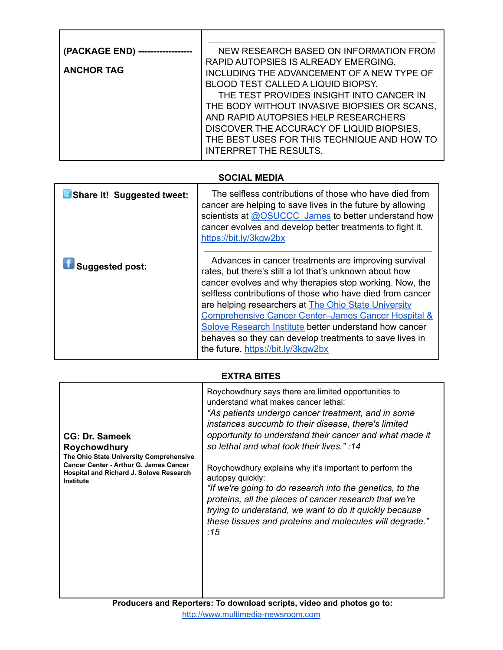| (PACKAGE END)     | NEW RESEARCH BASED ON INFORMATION FROM       |
|-------------------|----------------------------------------------|
|                   | RAPID AUTOPSIES IS ALREADY EMERGING,         |
| <b>ANCHOR TAG</b> | INCLUDING THE ADVANCEMENT OF A NEW TYPE OF   |
|                   | <b>BLOOD TEST CALLED A LIQUID BIOPSY.</b>    |
|                   | THE TEST PROVIDES INSIGHT INTO CANCER IN     |
|                   | THE BODY WITHOUT INVASIVE BIOPSIES OR SCANS, |
|                   | AND RAPID AUTOPSIES HELP RESEARCHERS         |
|                   | DISCOVER THE ACCURACY OF LIQUID BIOPSIES,    |
|                   | THE BEST USES FOR THIS TECHNIQUE AND HOW TO  |
|                   | <b>INTERPRET THE RESULTS.</b>                |

# **SOCIAL MEDIA**

| <b>B</b> Share it! Suggested tweet: | The selfless contributions of those who have died from<br>cancer are helping to save lives in the future by allowing<br>scientists at @OSUCCC James to better understand how<br>cancer evolves and develop better treatments to fight it.<br>https://bit.ly/3kgw2bx                                                                                                                                                                                                                                                          |
|-------------------------------------|------------------------------------------------------------------------------------------------------------------------------------------------------------------------------------------------------------------------------------------------------------------------------------------------------------------------------------------------------------------------------------------------------------------------------------------------------------------------------------------------------------------------------|
| <b>Suggested post:</b>              | Advances in cancer treatments are improving survival<br>rates, but there's still a lot that's unknown about how<br>cancer evolves and why therapies stop working. Now, the<br>selfless contributions of those who have died from cancer<br>are helping researchers at The Ohio State University<br><b>Comprehensive Cancer Center-James Cancer Hospital &amp;</b><br>Solove Research Institute better understand how cancer<br>behaves so they can develop treatments to save lives in<br>the future. https://bit.ly/3kgw2bx |

# **EXTRA BITES**

| <b>CG: Dr. Sameek</b><br>Roychowdhury<br>The Ohio State University Comprehensive<br><b>Cancer Center - Arthur G. James Cancer</b><br><b>Hospital and Richard J. Solove Research</b><br>Institute | Roychowdhury says there are limited opportunities to<br>understand what makes cancer lethal:<br>"As patients undergo cancer treatment, and in some<br>instances succumb to their disease, there's limited<br>opportunity to understand their cancer and what made it<br>so lethal and what took their lives.":14<br>Roychowdhury explains why it's important to perform the<br>autopsy quickly:<br>"If we're going to do research into the genetics, to the<br>proteins, all the pieces of cancer research that we're<br>trying to understand, we want to do it quickly because<br>these tissues and proteins and molecules will degrade."<br>:15 |
|--------------------------------------------------------------------------------------------------------------------------------------------------------------------------------------------------|---------------------------------------------------------------------------------------------------------------------------------------------------------------------------------------------------------------------------------------------------------------------------------------------------------------------------------------------------------------------------------------------------------------------------------------------------------------------------------------------------------------------------------------------------------------------------------------------------------------------------------------------------|
|                                                                                                                                                                                                  |                                                                                                                                                                                                                                                                                                                                                                                                                                                                                                                                                                                                                                                   |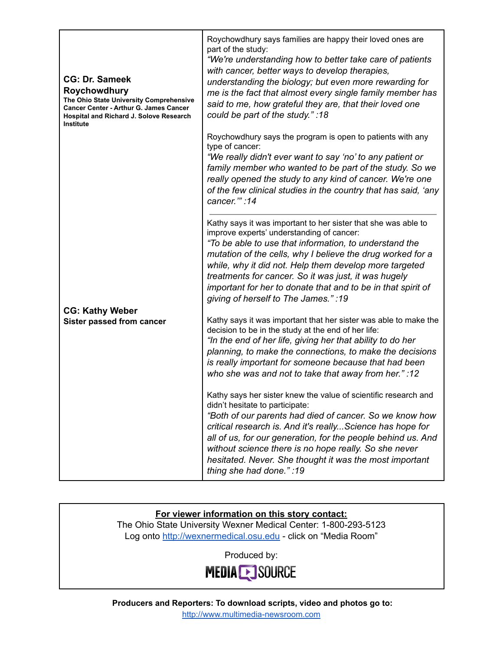| <b>CG: Dr. Sameek</b><br>Roychowdhury<br>The Ohio State University Comprehensive<br><b>Cancer Center - Arthur G. James Cancer</b><br><b>Hospital and Richard J. Solove Research</b><br><b>Institute</b> | Roychowdhury says families are happy their loved ones are<br>part of the study:<br>"We're understanding how to better take care of patients<br>with cancer, better ways to develop therapies,<br>understanding the biology; but even more rewarding for<br>me is the fact that almost every single family member has<br>said to me, how grateful they are, that their loved one<br>could be part of the study.":18                                           |
|---------------------------------------------------------------------------------------------------------------------------------------------------------------------------------------------------------|--------------------------------------------------------------------------------------------------------------------------------------------------------------------------------------------------------------------------------------------------------------------------------------------------------------------------------------------------------------------------------------------------------------------------------------------------------------|
|                                                                                                                                                                                                         | Roychowdhury says the program is open to patients with any<br>type of cancer:<br>"We really didn't ever want to say 'no' to any patient or<br>family member who wanted to be part of the study. So we<br>really opened the study to any kind of cancer. We're one<br>of the few clinical studies in the country that has said, 'any<br>cancer."":14                                                                                                          |
|                                                                                                                                                                                                         | Kathy says it was important to her sister that she was able to<br>improve experts' understanding of cancer:<br>"To be able to use that information, to understand the<br>mutation of the cells, why I believe the drug worked for a<br>while, why it did not. Help them develop more targeted<br>treatments for cancer. So it was just, it was hugely<br>important for her to donate that and to be in that spirit of<br>giving of herself to The James.":19 |
| <b>CG: Kathy Weber</b><br>Sister passed from cancer                                                                                                                                                     | Kathy says it was important that her sister was able to make the<br>decision to be in the study at the end of her life:<br>"In the end of her life, giving her that ability to do her<br>planning, to make the connections, to make the decisions<br>is really important for someone because that had been<br>who she was and not to take that away from her." :12                                                                                           |
|                                                                                                                                                                                                         | Kathy says her sister knew the value of scientific research and<br>didn't hesitate to participate:<br>"Both of our parents had died of cancer. So we know how<br>critical research is. And it's reallyScience has hope for<br>all of us, for our generation, for the people behind us. And<br>without science there is no hope really. So she never<br>hesitated. Never. She thought it was the most important<br>thing she had done.":19                    |

## **For viewer information on this story contact:**

The Ohio State University Wexner Medical Center: 1-800-293-5123 Log onto <http://wexnermedical.osu.edu> - click on "Media Room"

Produced by:



**Producers and Reporters: To download scripts, video and photos go to:** <http://www.multimedia-newsroom.com>